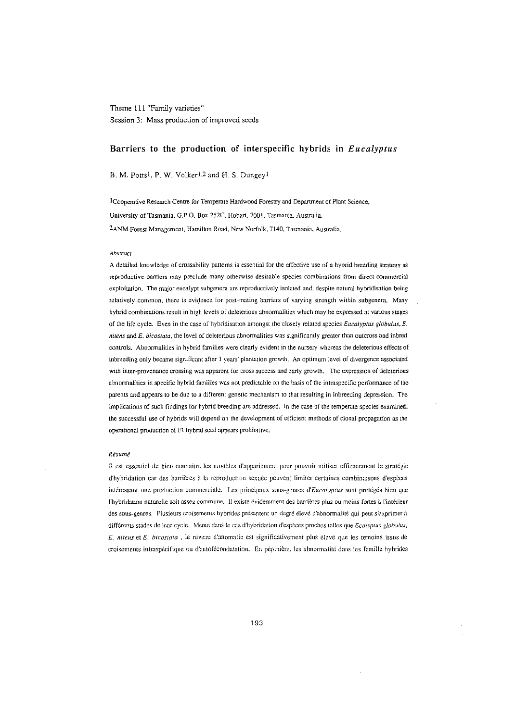# Theme 111 "Family varieties" Session 3: Mass production of improved seeds

## Barriers to the production of interspecific hybrids in *Eucalyptus*

B. M. Potts<sup>1</sup>, P. W. Volker<sup>1,2</sup> and H. S. Dungey<sup>1</sup>

lCooperntive Research Centre for Temperate Hardwood Forestry and Department of Plant Science, University of Tasmania, G.P.O. Box 252C, Hobart. 7001. Tasmania. Australia. 2ANM Forest Management, Hamilton Road, New Norfolk, 7140, Tasmania, Australia.

### *Abstract*

A detailed knowledge of crossability patterns is essential for the effective use of a hybrid breeding strategy as reproductive barriers may preclude many otherwise desirable species combinations from direct commercial exploitation. The major eucalypt subgenera are reproductively isolated and, despite natural bybridisation being relatively common, there is evidence for post-mating barriers of varying strength within subgenera. Many hybrid combinations result in high levels of deleterious abnormalities which may be expressed at various stages of the life cycle. Even in the case of hybridisation amongst the closely related species *Eucalyptus gtobutus, E. nitens* and E. *bicostata,* the level of deleterious abnormalities was significantly greater than outcross and inbred controls. Abnormalities in hybrid families were clearly evident in the nursery whereas the deleterious effects of inbreeding only became significant after 1 years' plantation growth. An optimum level of divergence associated with inter-provenance crossing was apparent for cross success and early growth. The expression of deleterious abnormalities in specific hybrid families was not predictable on the basis of the intraspecific performance of the parents and appears to be due to a different genetic mechanism to that resulting in inbreeding depression. The implications of such findings for hybrid breeding are addressed. In the case of the temperate species examined. the successful use of hybrids will depend on the development of efficient methods of clonal propagation as the operational production of F1 hybrid seed appears prohibitive.

#### *Resume*

II est essen tiel de bien connaitre les modeles d'appariement pour pouvoir uuliser efficacement la strategic d'hybridation car des barrières à la reproduction sexuée peuvent limiter certaines combinaisons d'espèces interessant une production commerciale. Les principaux sous-genres *d'Eucalyptus* sont proteges bien que l'hybridation naturelle soit assez commune. Il existe évidemment des barrières plus ou moins fortes à l'intérieur des sous-genres. Plusieurs croisements hybrides présentent un degré élevé d'abnormalité qui peut s'exprimer à dffferems stades de leur cycle. Meme dans Ie cas d'hybridauon d'especes proches telles que *Ecatyptus globulus. E. nitens* et *E. bicostata*, le niveau d'anomalie est significativement plus élevé que les temoins issus de croisements intraspécifique ou d'autofécondatation. En pépinière, les abnormalité dans les famille hybrides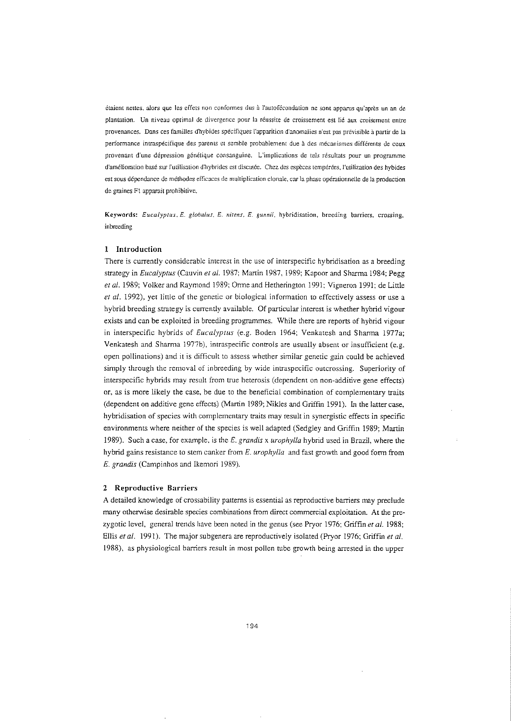etaient neues, alors que Ies effets non conformes dus al'aurofecondation ne sont apparus qu'apres un an de plantation. Un niveau optimal de divergence pour la réussite de croissement est lié aux croisement entre provenances. Dans ces families d'hybides specifiques l'apparition d'anomalies n'est pas previsible a partir de 13 performance intraspécifique des parents et semble probablement due à des mécanismes différents de ceux provenant d'une dépression génétique consanguine. L'implications de tels résultats pour un programme d'amélioration basé sur l'utilisation d'hybrides est discutée. Chez des espèces tempérées, l'utilization des hybides est sous dépendance de méthodes efficaces de multiplication clonale, car la phase opérationnelle de la production de graines F1 apparait prohibitive.

Keywords: *Eucalyptus, E. glohulus, E. nitens, E. gunnii,* hybridisation. breeding barriers, crossing, inbreeding

### **1 Introduction**

There is currently considerable interest in the use of interspecific hybridisaticn as a breeding strategy in *Eucalyptus* (Cauvin et al. 1987; Martin 1987, 1989; Kapoor and Sharma 1984; Pegg *et al.* 1989; Volker and Raymond 1989; Orme and Hetherington 1991; Vigneron 1991; de Little *et at.* 1992), yet little of the genetic or biological information to effectively assess or use a hybrid breeding strategy is currently available. Of particular interest is whether hybrid vigour exists and can be exploited in breeding programmes. While there are reports of hybrid vigour in interspecific hybrids of *Eucalyptus* (e.g. Boden 1964; Venkatesh and Sharma 1977a; Venkatesh and Sharma 1977b), intraspecific controls are usually absent or insufficient (e.g. open pollinations) and it is difficult to assess whether similar genetic gain could be achieved simply through the removal of inbreeding by wide intraspecific outcrossing. Superiority of interspecific hybrids may result from true heterosis (dependent on non-additive gene effects) or, as is more likely the case, be due to the beneficial combination of complementary traits (dependent on additive gene effects) (Martin 1989; Nik1es and Griffin 1991). In the latter case, hybridisation of species with complementary traits may result in synergistic effects in specific environments where neither of the species is well adapted (Sedgley and Griffin 1989; Martin 1989). Such a case, for example, is the *E. grandis* x *urophyl/a* hybrid used in Brazil, where the hybrid gains resistance to stem canker from *E. urophylla* and fast growth and good forrn from *E. grandis* (Campinhos and Ikemori 1989).

#### **2 Reproductive Barriers**

A detailed knowledge of crossability patterns is essential as reproductive barriers may preclude many otherwise desirable species combinations from direct commercial exploitation. At the prezygotic level, general trends have been noted in the genus (see Pryor 1976; Griffin *et al. 1988;* Ellis *et al,* 1991). The major subgenera are reproductively isolated (Pryor 1976; Griffin *et al,* 1988), as physiological barriers result in most pollen tube growth being arrested in the upper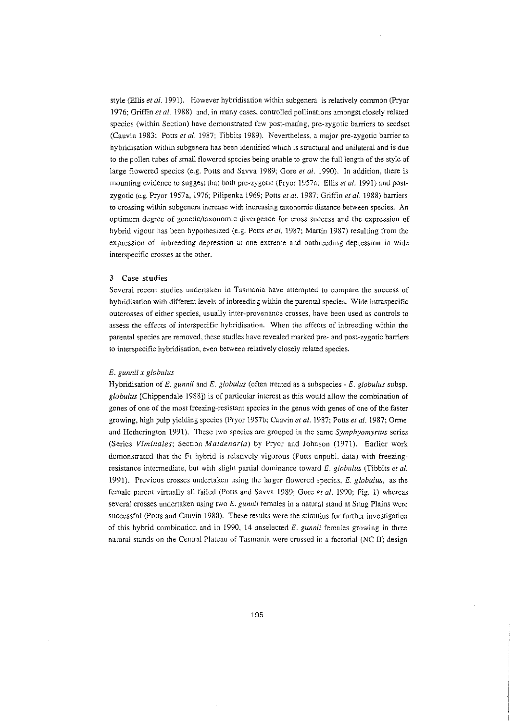style (Ellis *et al.* 1991). However hybridisation within subgenera is relatively common (Pryor 1976; Griffin *et al.* 1988) and, in many cases, controlled pollinations amongst closely related species (within Section) have demonstrated few post-mating, pre-zygotic barriers to seedset (Cauvin 1983; Potts et al. 1987; Tibbits 1989). Nevertheless, a major pre-zygotic barrier to hybridisation within subgenera has been identified which is structural and unilateral and is due to the pollen tubes of small flowered species being unable to grow the full length of the style of large flowered species (e.g. Potts and Savva 1989; Gore *et* at. 1990). In addition, there is mounting evidence to suggest that both pre-zygotic (Pryor 1957a; Ellis er *ai.* 1991) and postzygotic (e.g. Pryor 1957a, 1976; Pilipenka 1969; Potts *et al.* 1987; Griffin *et al.* 1988) barriers to crossing within subgenera increase with increasing taxonomic distance between species. An optimum degree of genetic/taxonomic divergence for cross success and the expression of hybrid vigour has been hypothesized (e.g. Potts *et al.* 1987; Martin 1987) resulting from the expression of inbreeding depression at one extreme and outbreeding depression in wide interspecific crosses at the other.

## 3 Case **studies**

Several recent studies undertaken in Tasmania have attempted to compare the success of hybridisation with different levels of inbreeding within the parental species. Wide intraspecific outcrosses of either species, usually inter-provenance crosses, have been used as controls to assess the effects of interspecific hybridisation. When the effects of inbreeding within the parental species are removed, these studies have revealed marked pre- and post-zygotic barriers to interspecific hybridisation, even between relatively closely related species.

## *E. gunnii x globulus*

Hybridisation of E. *gunnii* and E. *giobulus* (often treated as a subspecies - E. *giobulus* subsp. *globulus* [Chippendale 1988]) is of particular interest as this would allow the combination of genes of one of the most freezing-resistant species in the genus with genes of one of the faster growing, high pulp yielding species (Pryor 1957b; Cauvin et al. 1987; Potts et al. 1987; Orme and Hetherington 1991). These two species are grouped in the Same *Symphyomyrrus* series (Series *Viminaies;* Section *Maidenaria)* by Pryor and Johnson (1971). Earlier work demonstrated that the PI hybrid is relatively vigorous (Potts unpubl. data) with freezingresistance intermediate, but with slight partial dominance toward E. *globuius* (Tibbits *et al.* 1991). Previous crosses undertaken using the larger flowered species, E. globulus, as the female parent virtually all failed (Potts and Savva 1989; Gore *et at.* 1990; Fig. 1) whereas several crosses undertaken using two *E. gunnii* females in a natural stand at Snug Plains were successful (Potts and Cauvin 1988). These results were the stimulus for further investigation of this hybrid combination and in 1990, 14 unselected *E. gunnii* females growing in three natural stands on the Central Plateau of Tasmania were crossed in a factorial (NC II) design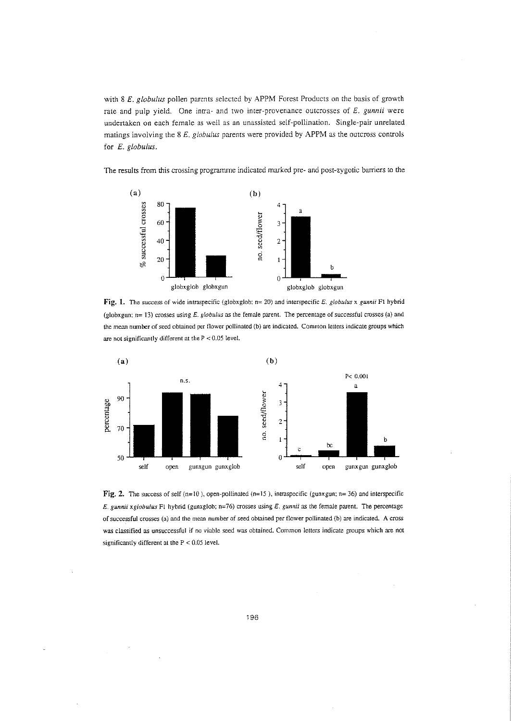with 8 E. globulus pollen parents selected by APPM Forest Products on the basis of growth rate and pulp yield. One inrra- and two inter-provenance outcrosses of E. *gunnii* were undertaken on each female as well as an unassisted self-pollination. Single-pair unrelated matings involving the  $8 E$ . globulus parents were provided by APPM as the outcross controls for *E. globulus.*

The results from this crossing programme indicated marked pre- and post-zygotic barriers to the



**Fig. 1.** The success of wide intraspecific (globxglob; n= 20) and interspecific *E. globulus* x *gunnii* F1 hybrid (globxgun;  $n=13$ ) crosses using E. globulus as the female parent. The percentage of successful crosses (a) and the mean number of seed obtained per flower pollinated (b) are indicated. Common letters indicate groups which are not significantly different at the  $P < 0.05$  level.



Fig. 2. The success of self (n=10), open-pollinated (n=15), intraspecific (gunxgun; n= 36) and interspecific *E. gunnii xg/obu/us* FI hybrid (gunxglob: n=76) crosses using *E. gunnii* as the female parent. The percentage of successful crosses (a) and the mean number of seed obtained per flower pollinated (b) are indicated. A cross was classified as unsuccessful if no viable seed was obtained. Common letters indicate groups which are not significantly different at the  $P < 0.05$  level.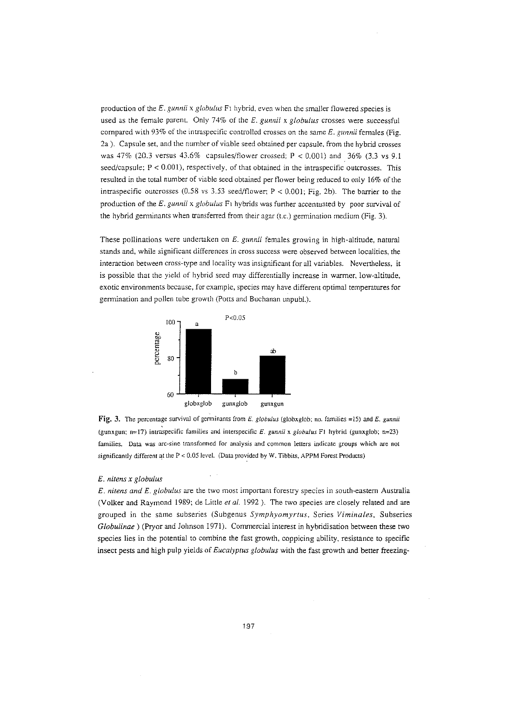production of the *E. gunnii* x *globulus* FI hybrid, even when the smaller flowered species is used as the female parent. Only 74% of the E. *gunnii* x *globulus* crosses were successful compared with 93% of the intraspecific controlled crosses on the same *E. gunnii* females (Fig. 2a). Capsule set, and the number of viable seed obtained per capsule, from the hybrid crosses was  $47\%$  (20.3 versus  $43.6\%$  capsules/flower crossed; P < 0.001) and 36% (3.3 vs 9.1 seed/capsule;  $P < 0.001$ ), respectively, of that obtained in the intraspecific outcrosses. This resulted in the total number of viable seed obtained per flower being reduced to only 16% of the intraspecific outcrosses (0.58 vs 3.53 seed/flower;  $P < 0.001$ ; Fig. 2b). The barrier to the production of the E. *gunnii* x *globulus* Fi hybrids was further accentuated by poor survival of the hybrid germinants when transferred from their agar (t.c.) germination medium (Fig. 3).

These pollinations were undertaken on E. *gunnii* females growing in high-altitude, natural stands and, while significant differences in cross success were observed between localities, the interaction between cross-type and locality was insignificant for all variables. Nevertheless, it is possible that the yield of hybrid seed may differentially increase in warmer, low-altitude, exotic environments because, for example, species may have different optimal temperatures for germination and pollen tube growth (Potts and Buchanan unpubl.).



**Fig. 3.** The percentage survival of germinants from *E. globulus* (globxglob; no. families =15) and *E. gunnii* (gunxgun: n=17) intraspecific families and interspecific *E. gunnii* x *globulus* FI hybrid (gunxglob; n=23) families. Data was arc-sine transformed for analysis and common letters indicate groups which are not significantly different at the P < 0.05 level. (Data provided by W. Tibbits, APPM Forest Products)

## E. *nitens x globulus*

*E. nitens and E. globulus* are the two most important forestry species in south-eastern Australia (Volker and Raymond 1989; de Little *et al.* 1992). The two species are closely related and are grouped in the same subseries (Subgenus *Symphyomyrtus,* Series *Viminales,* Subseries *Globulinae)* (Pryor and Johnson 1971). Commercial interest in hybridisation between these two species lies in the potential to combine the fast growth, coppicing ability, resistance to specific insect pests and high pulp yields of *Eucalyptus globulus* with the fast growth and better freezing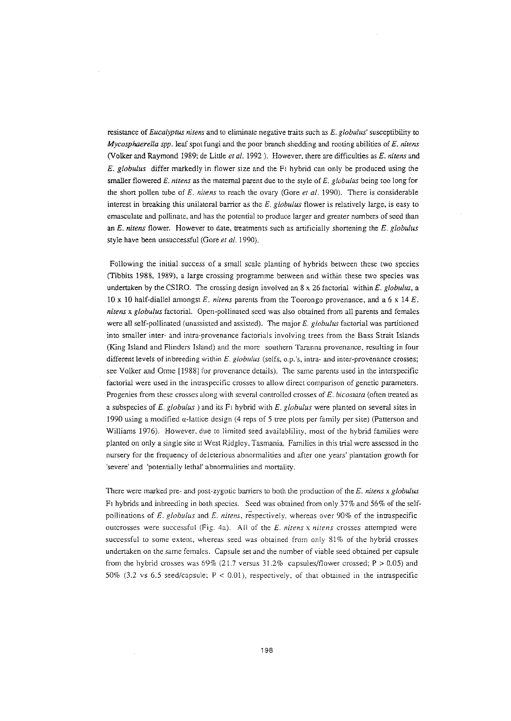resistance of *Eucalyptus nitens* and to eliminate negative traits such as *E. globulus'* susceptibility to *Mycosphaere//a spp.* leaf spot fungi and the poor branch shedding and rooting abilities of *E. nitens* (Volker and Raymond 1989; de Little *et al.* 1992). However, there are difficulties as *E. nitens* and *E. g/obulus* differ markedly in flower size and the Pi hybrid can only be produced using the smaller flowered E. *nitens* as the maternal parent due to the style of E. *globulus* being too long for the short pollen tube of *E. nitens* to reach the ovary (Gore *et al.* 1990). There is considerable interest in breaking this unilateral barrier as the *E. globulus* flower is relatively large, is easy to emasculate and pollinate, and has the potential to produce larger and greater numbers of seed than an *E. nltens* flower. However to date, treatments such as artificially shortening the *E. globulus* style have been unsuccessful (Gore *et at.* 1990).

Following the initial success of a small scale planting of hybrids between these two species (Tibbits 1988, 1989), a large crossing programme between and within these two species was undertaken by the CSIRO. The crossing design involved an 8 x 26 factorial within E. *globulus,* a 10 x 10 half-diallel amongst E. *nitens* parents from the Toorongo provenance, and a 6 x 14 E. *nitens* x *globulus* factorial. Open-pollinated seed was also obtained from all parents and females were all self-pollinated (unassisted and assisted). The major *E. globu/us* factorial was partitioned into smaller inter- and intra-provenance factorials involving trees from the Bass Strait Islands (King Island and Flinders Island) and the more southern Taranna provenance, resulting in four different levels of inbreeding within E. *globulus* (selfs, o.p.'s, intra- and inter-provenance crosses; see Volker and Orme [1988] for provenance details). The same parents used in the interspecific factorial were used in the intraspecific crosses to allow direct comparison of genetic parameters. Progenies from these crosses along with several controlled crosses of *E. bicostata* (often treated as a subspecies of E. globulus ) and its Fi hybrid with E. globulus were planted on several sites in 1990 using a modified  $\alpha$ -lattice design (4 reps of 5 tree plots per family per site) (Patterson and Williams 1976). However, due to limited seed availablility, most of the hybrid families were planted on only a single site at West Ridgley. Tasmania. Families in this trial were assessed in the nursery for the frequency of deleterious abnormalities and after one years' plantation growth for 'severe' and 'potentially lethal' abnormalities and mortality.

There were marked pre- and post-z.ygotic barriers to both the production of the E. *nitens* x *globulus* Fr hybrids and inbreeding in both species. Seed was obtained from only 37% and 56% of the selfpollinations of *E. globuius* and *E. nitens,* respectively, whereas over 90% of the intraspecific outcrosses were successful (Fig. 4a). All of the *E. nitens* x *nitens* crosses attempted were successful to some extent, whereas seed was obtained from only 81% of the hybrid crosses undertaken on the same females. Capsule set and the number of viable seed obtained per capsule from the hybrid crosses was  $69\%$  (21.7 versus 31.2% capsules/flower crossed; P > 0.05) and 50% (3.2 vs 6.5 seed/capsule;  $P < 0.01$ ), respectively, of that obtained in the intraspecific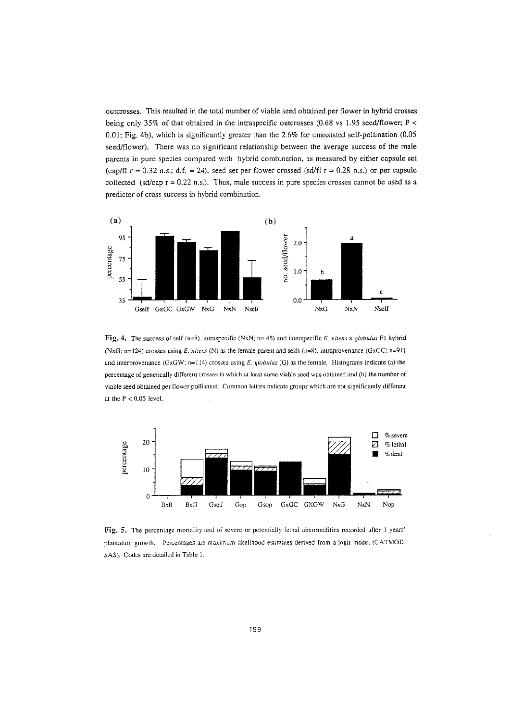outcrosses. This resulted in the total number of viable seed obtained per flower in hybrid crosses being only 35% of that obtained in the intraspecific outcrosses (0.68 vs 1.95 seed/flower;  $P \le$ 0.01; Fig. 4b), which is significantly greater than the 2.6% for unassisted self-pollination (0.05 seed/flower). There was no significant relationship between the average success of the male parents in pure species compared with hybrid combination, as measured by either capsule set (cap/fl  $r = 0.32$  n.s.; d.f. = 24), seed set per flower crossed (sd/fl  $r = 0.28$  n.s.) or per capsule collected (sd/cap  $r = 0.22$  n.s.). Thus, male success in pure species crosses cannot be used as a predictor of cross success in hybrid combination.



Fig. 4. The success of self (n=8), intraspecific (NxN; n= 45) and interspecific E. nitens x globulus F1 hybrid (NxG: »=124) crosses using E. *nitens* (N) as the female parent and selfs (n=8), intraprovenance (GxGC; n=91) and interprovenance (GxGW; n=114) crosses using  $E$ . globulus (G) as the female. Histograms indicate (a) the percentage of genetically different crosses in which at least some viable seed was obtained and (b) the number of viable seed obtained per flower pollinated. Common letters indicate groups which are not significantly different at the P < 0.05 level.



Fig. 5. The percentage mortality and of severe or potentially lethal abnormalities recorded after 1 years' plantation growth. Percentages are maximum likelihood estimates derived from a logit model (CATMOD. SAS). Codes are detailed in Table 1.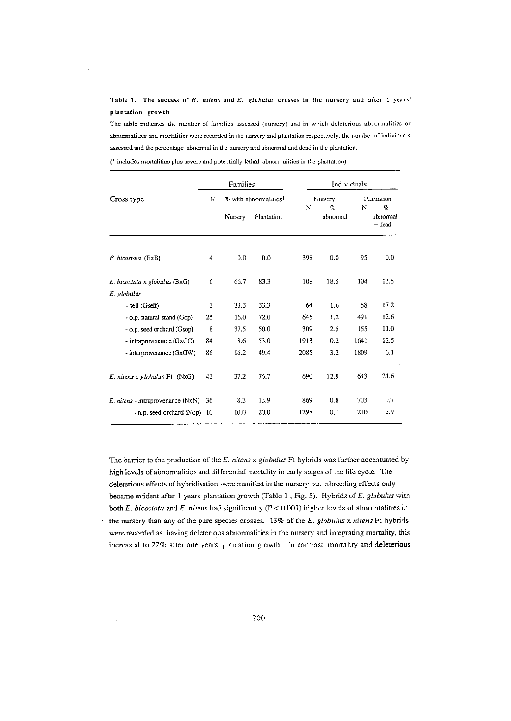Table 1. The success of *E. nitens* and *E. globulus* crosses in the nursery and after 1 years' plantation growth

The table indicates the number of families assessed (nursery) and in which deleterious abnormalities or abnormalities and mortalities were recorded in the nursery and plantation respectively, the number of individuals assessed and the percentage abnormal in the nursery and abnormal and dead in the plantation.

 $(1$  includes mortalities plus severe and potentially lethal abnormalities in the plantation)

 $\mathcal{A}$ 

l,

|                                    | Families |                                   |            |      | Individuals     |      |                                   |  |
|------------------------------------|----------|-----------------------------------|------------|------|-----------------|------|-----------------------------------|--|
| Cross type                         | N        | % with abnormalities <sup>1</sup> |            | N    | Nursery<br>$\%$ | N    | Plantation<br>$\%$                |  |
|                                    |          | Nursery                           | Plantation |      | abnormal        |      | abnormal <sup>1</sup><br>$+$ dead |  |
| E. bicostata (BxB)                 | 4        | 0.0                               | 0.0        | 398  | 0.0             | 95   | 0.0                               |  |
| E. bicostata x globulus (BxG)      | 6        | 66.7                              | 83.3       | 108  | 18.5            | 104  | 13.5                              |  |
| E. globulus                        |          |                                   |            |      |                 |      |                                   |  |
| - self (Gself)                     | 3        | 33.3                              | 33.3       | 64   | 1.6             | 58   | 17.2                              |  |
| - o.p. natural stand (Gop)         | 25       | 16.0                              | 72.0       | 645  | 1.2             | 491  | 12.6                              |  |
| - o.p. seed orchard (Gsop)         | 8        | 37.5                              | 50.0       | 309  | 2.5             | 155  | 11.0                              |  |
| $-$ intraprovenance ( $GxGC$ )     | 84       | 3.6                               | 53.0       | 1913 | 0.2             | 1641 | 12.5                              |  |
| - interprovenance (GxGW)           | 86       | 16.2                              | 49.4       | 2085 | 3.2             | 1809 | 6.1                               |  |
| $E$ . nitens x globulus $F1$ (NxG) | 43       | 37.2                              | 76.7       | 690  | 12.9            | 643  | 21.6                              |  |
| E. nitens - intraprovenance (NxN)  | 36       | 8.3                               | 13.9       | 869  | 0.8             | 703  | 0.7                               |  |
| - o.p. seed orchard (Nop)          | -10      | 10.0                              | 20.0       | 1298 | 0.1             | 210  | 1.9                               |  |

The barrier to the production of the *E. nitens*x *globulus* FI hybrids was further accentuated by high levels of abnormalities and differential mortality in early stages of the life cycle, The deleterious effects of hybridisation were manifest in the nursery but inbreeding effects only became evident after I years' plantation growth (fable I ; Fig. 5). Hybrids of *E. globulus* with both *E. bicostata* and *E. nitens* had significantly (P < 0.00 1) higher levels of abnormalities in the nursery than any of the pure species crosses. 13% of the *E. globulus* x *nitens* FI hybrids were recorded as having deleterious abnormalities in the nursery and integrating mortality, this increased to 22% after one years' plantation growth. In contrast, mortality and deleterious

 $\sim$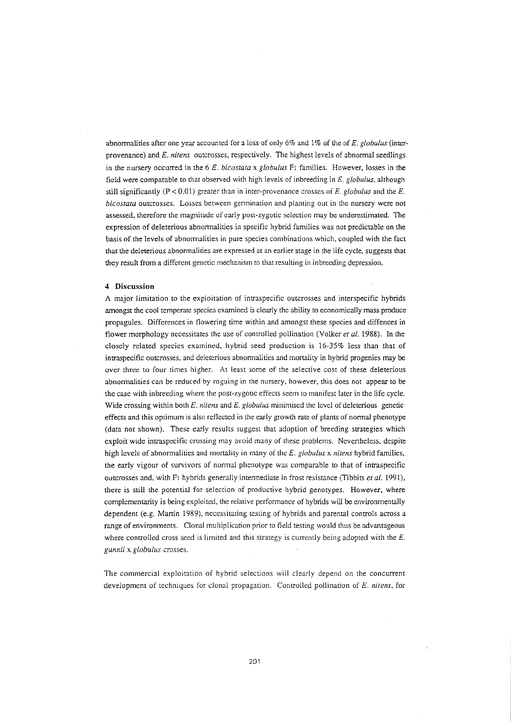abnormalities after one year accounted for a loss of only  $6\%$  and  $1\%$  of the of E. globulus (interprovenance) and E. *nitens* outcrosses, respectively. The highest levels of abnormal seedlings in the nursery occurred in the 6 *E. bicostata* x *globulus* Fi families. However, losses in the field were comparable to that observed with high levels of inbreeding in  $E$ . globulus, although still significantly ( $P < 0.01$ ) greater than in inter-provenance crosses of E, globulus and the E. *bicostata* outcrosses. Losses between germination and planting out in the nursery were not assessed, therefore the magnitude of early post-zygotic selection may be underestimated. The expression of deleterious abnormalities in specific hybrid families was not predictable on the basis of the levels of abnormalities in pure species combinations which, coupled with the fact that the deleterious abnormalities are expressed at an earlier stage in the life cycle, suggests that they result from a different genetic mechanism to that resulting in inbreeding depression.

## **4 Discussion**

A major limitation to the exploitation of intraspecific outcrosses and interspecific hybrids amongst the cool temperate species examined is clearly the ability to economically mass produce propagules. Differences in flowering time within and amongst these species and diffences in flower morphology necessitates the use of controlled pollination (Volker *et at.* 1988). In the closely related species examined, hybrid seed production is 16-35% less than that of intraspecific outcrosses, and deleterious abnormalities.and mortality in hybrid progenies may be over three to four times higher. At [east some of the selective cost of these deleterious abnormalities can be reduced by roguing in the nursery, however, this does not appear to be the case with inbreeding where the post-zygotic effects seem to manifest later in the life cycle. Wide crossing within both  $E$ . nitens and  $E$ . globulus minimised the level of deleterious genetic effects and this optimum is also reflected in the early growth rate of plants of normal phenotype (data not shown). These early results suggest that adoption of breeding strategies which exploit wide intraspecific crossing may avoid many of these problems. Nevertheless, despite high levels of abnormalities and mortality in many of the *E. globulus* x *nitens* hybrid families, the early vigour of survivors of normal phenotype was comparable to that of intraspecific outcrosses and, with Fl hybrids generally intermediate in frost resistance (Tibbits *et al. 1991),* there is still the potential for selection of productive hybrid genotypes. However, where complementarity is being exploited, the relative performance of hybrids will be environmentally dependent (e.g. Martin 1989), necessitating testing of hybrids and parental controls across a range of environments. Clonal multiplication prior to field testing would thus be advantageous where controlled cross seed is limited and this strategy is currently being adopted with the E. *gunnii* x *globulus* crosses.

The commercial exploitation of hybrid selections will clearly depend on the concurrent development of techniques for clonal propagation. Controlled pollination of E. *nitens,* for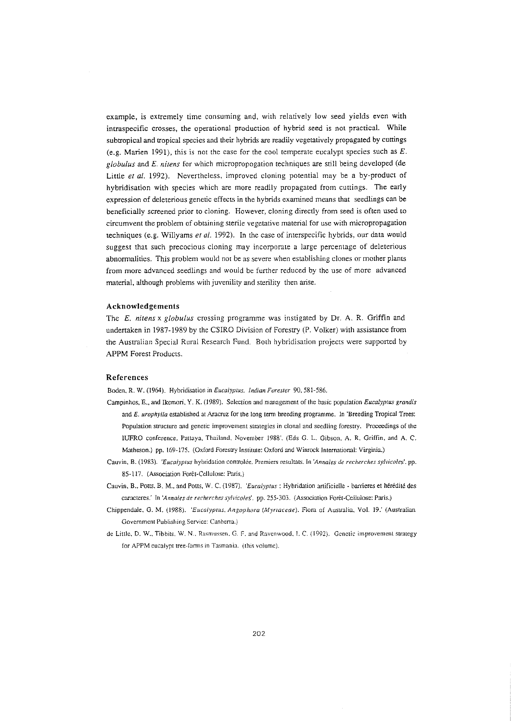example, is extremely time consuming and, with relatively low seed yields even with intraspecific crosses, the operational production of hybrid seed is not practical. While subtropical and tropical species and their hybrids are readily vegetatively propagated by cuttings (e.g. Marien 1991), this is not the case for the cool temperate eucalypt species such as  $E$ . *globulus* and *E, nitens* for which micropropogation techniques are still being developed (de Little et al. 1992). Nevertheless, improved cloning potential may be a by-product of hybridisation with species which are more readily propagated from cuttings. The early expression of deleterious genetic effects in the hybrids examined means that seedlings can be beneficially screened prior to cloning. However, cloning directly from seed is often used to circumvent the problem of obtaining sterile vegetative material for use with micropropagation techniques (e.g. Willyams et  $al.$  1992). In the case of interspecific hybrids, our data would suggest that such precocious cloning may incorporate a large percentage of deleterious abnormalities. This problem would not be as severe when establishing clones or mother plants from more advanced seedlings and would be further reduced by the use of more advanced material, although problems with juvenility and sterility then arise.

## **Acknowledgements**

The  $E$ . nitens x globulus crossing programme was instigated by Dr. A. R. Griffin and undertaken in 1987-1989 by the CSIRO Division of Forestry (P. Volker) with assistance from the Australian Special Rural Research Fund, Both hybridisation projects were supported by APPM Forest Products.

#### **References**

Boden, R. W. (1964). Hybridisation in *Eucalyptus. Indian Forester* 90, 581-586.

- Campmhos, E., and Ikemori. Y. K. (1989), Selection and management of the basic population *Eucalyptus grandis* and *E. urophylla* established at Aracruz for the long term breeding programme. In 'Breeding Tropical Trees: Population structure and genetic improvement strategies in clonal and seedling forestry. Proceedings of the lUFRO conference, Pattaya, Thailand, November 1988'. (Eds G. L. Gibson, A. R, Griffin, and A. C. Matheson.) pp. 169-175. (Oxford Forestry Institute: Oxford and Winrock International: Virginia.)
- Cauvin, B. (1983), *'Eucalyptus* hybridauon controlee. Premiers resulrars. In *'Annales* de *recherches sylvicoles'.* pp. 85-117. (Association Poret-Cellulose: Paris.)
- Cauvin. B., Potts, B. M., and Potts, W, C. (I987l. *'Eucalyptus:* Hybridation artificielle barrieres et heredite des caracteres.' In 'Annales de recherches sylvicoles'. pp. 255-303. (Association Forêt-Cellulose: Paris.)
- Chippendale, G. M. (1988). *'Eucalyptus, Angophora (Mynaceae).* Flora of Australia, Vol. 19.' (Australian Government Publishing Service: Canberra.j
- de Little. D, W.. Tibbits. W, N.. Rasmussen. G. F. and Ravenwood. I. C, (1992). Genetic improvement strategy for APPM eucalypt tree-Iarms in Tasmania. (this volume).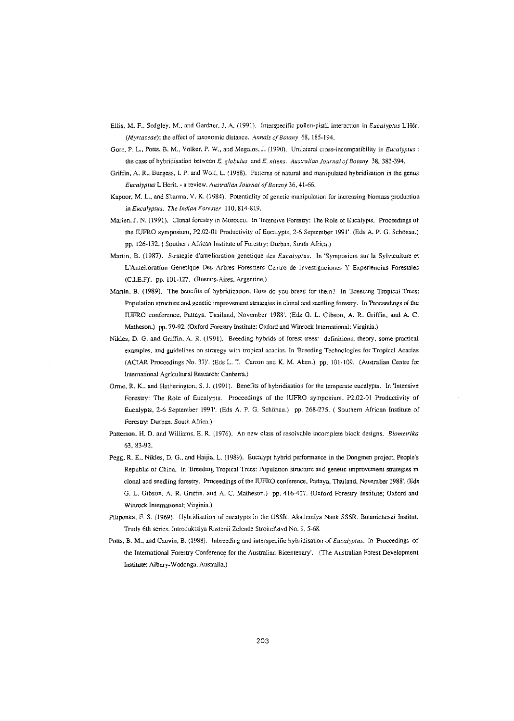- Ellis. M. F.• Sedgley, M., and Gardner, J. A. (1991). Interspecific pollen-pistil interaction in *Eucalyptus* L'Her. *(Myrtaceae)*; the effect of taxonomic distance. *Annals of Botany* 68, 185-194.
- Gore, P. L.. Potts, B. M., Volker, P. W., and Megalos, J. (1990). Unilateral cross-incompatibility in *Eucalyptus:* the case of hybridisation between *E. globulus* and *E. nitens. Australian Journal of Botany* 38, 383-394.
- Griffin, A. R., Burgess, I. P. and Wolf. L. (1988). Patterns of natural and manipulated hybridisation in the genus *Eucalyptus* L'Herit. - a review. *Australian Journal ofBotany* 36, 41-66.
- Kapoor, M. L., and Sharma. V. K. (1984). Potentiality of genetic manipulation for increasing biomass production in *Eucalyptus. The Indian Forester* 110,814-819.
- Marien, J. N. (1991). Clonal forestry in Morocco. In 'Intensive Forestry: The Role of Eucalypts. Proceedings of the IUFRO symposium, P2.02-01 Productivity of Eucalypts, 2-6 September 1991'. (Eds A. P. G. Schönau.) pp. 126-132. ( Southern African Institute of Forestry: Durban, South Africa.)
- Martin, B. (1987). Strategic d'amelioration genetique des *Eucalyptus.* In 'Symposium sur la Sylviculture et L'Amelioration Genetique Des Arbres Forestiers Centro de Investigaciones Y Experiencias Forestales (C.LE.F)'. pp. 101-127. (Buenos-Aires, Argentine.)
- Martin, B. (1989). The benefits of hybridization. How do you breed for them? In 'Breeding Tropical Trees: Population structure and genetic improvement strategies in clonal and seedling forestry. In 'Proceedings of the IUFRO conference, Patraya. Thailand, November 1988'. (Eds G. L. Gibson, A. R. Griffin. and A. C. Matheson.) pp. 79-92. (Oxford Forestry Institute: Oxford and Winrock International: virginia.)
- Nikles, D. G. and Griffin, A. R. (1991). Breeding hybrids of forest trees: definitions. theory. some practical examples. and guidelines on strategy with tropical acacias. In 'Breeding Technologies for Tropical Acacias (ACIAR Proceedings No. 37)'. (Eds L. T. Carron and K. M. Aken.) pp. 101-109. (Australian Centre for International Agricultural Research: Canberra.)
- Orme. R. K.. and Hetherington, S. J. (1991). Benefits of hybridisation for the temperate eucalypts. In 'Intensive Forestry: The Role of Eucalypts. Proceedings of the IUFRO symposium, P2.02-01 Productivity of Eucalypts, 2-6 September 1991'. (Eds A. P. G. Schonau.) pp. 268-275. ( Southern African Institute of Forestry: Durban, South Africa.)
- Patterson, H. D. and Williams, E. R. (1976). An new class of resolvable incomplete block designs. *Biometrika* 63. 83-92.
- Pegg, R. E., Nikles, D. G., and Haijia, L. (1989). Eucalypt hybrid performance in the Dongmen project, People's Republic of China. In 'Breeding Tropical Trees: Population structure and genetic improvement strategies in clonal and seedling forestry. Proceedings of the IUFRO conference. Pattaya, Thailand. November 1988'. (Eds G. L. Gibson. A. R. Griffin. and A. C. Matheson.) pp. 416-417. (Oxford Forestry Institute; Oxford and Winrock International; Virginia.)
- Pilipenka. F. S. (1969). Hybridisntion of eucalypts in the USSR. Akademiya Nauk SSSR. Botanicheski Insdtut. Trudy 6th series. Introduktsiya Rastemi Zelende Strolrel'stvd No.9, 5-68.
- Pous, B. M., and Cauvin, B. (1988). Inbreeding and interspecific hybridisation of *Eucalyptus.* In 'Proceedings of the International Forestry Conference for the Australian Bicentenary'. (The Australian Forest Development Institute: Albury-wodonga. Australia.)